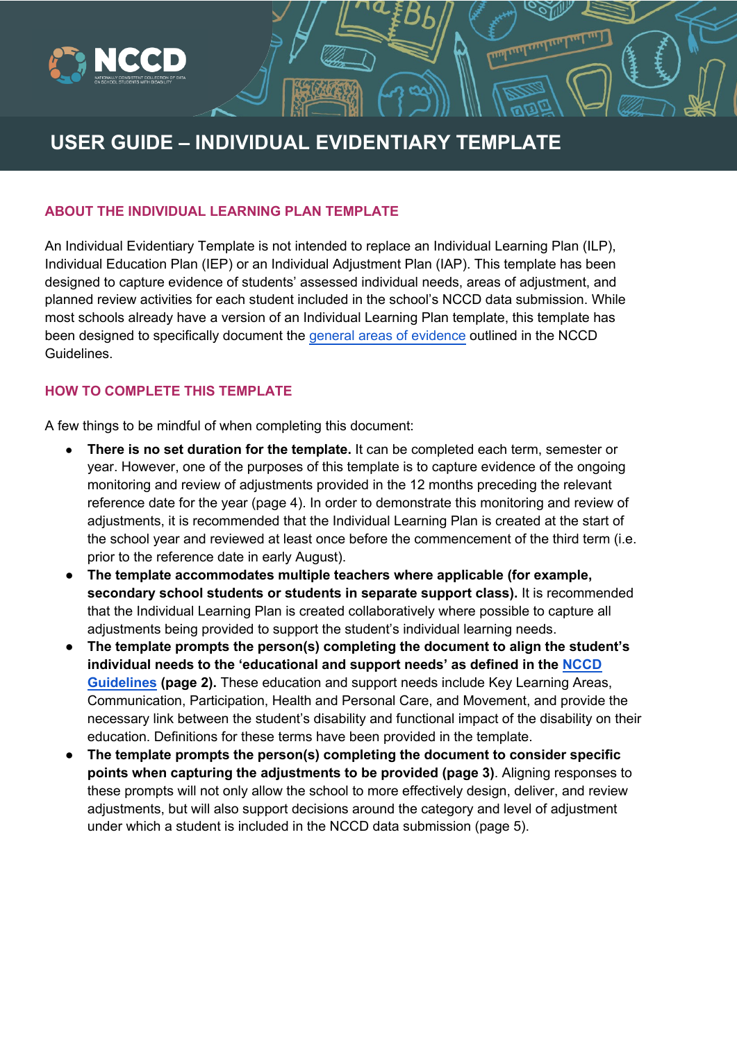

# **USER GUIDE – INDIVIDUAL EVIDENTIARY TEMPLATE**

**E**<br><sub>1111</sub> My My My My

#### **ABOUT THE INDIVIDUAL 9J:89BH:5 FM TEMPLATE**

An Individual Evidentiary template is not intended to replace an Individual Learning Plan (ILP), Individual Education Plan (IEP) or an Individual Adjustment Plan (IAP). This template has been designed to capture evidence of students' assessed individual needs, areas of adjustment, and planned review activities for each student included in the school's NCCD data submission. While most schools already have a version of an Individual Learning Plan template, this template has been designed to specifically document the general areas of evidence outlined in the NCCD Guidelines.

### **HOW TO COMPLETE THIS TEMPLATE**

A few things to be mindful of when completing this document:

- **There is no set duration for the template.** It can be completed each term, semester or year. However, one of the purposes of this template is to capture evidence of the ongoing monitoring and review of adjustments provided in the 12 months preceding the relevant reference date for the year (page 4). In order to demonstrate this monitoring and review of adjustments, it is recommended that the Individual Learning Plan is created at the start of the school year and reviewed at least once before the commencement of the third term (i.e. prior to the reference date in early August).
- **The template accommodates multiple teachers where applicable (for example, secondary school students or students in separate support class).** It is recommended that the Individual Learning Plan is created collaboratively where possible to capture all adjustments being provided to support the student's individual learning needs.
- **The template prompts the person(s) completing the document to align the student's individual needs to the 'educational and support needs' as defined in the NCCD Guidelines (page 2).** These education and support needs include Key Learning Areas, Communication, Participation, Health and Personal Care, and Movement, and provide the necessary link between the student's disability and functional impact of the disability on their education. Definitions for these terms have been provided in the template.
- **The template prompts the person(s) completing the document to consider specific points when capturing the adjustments to be provided (page 3)**. Aligning responses to these prompts will not only allow the school to more effectively design, deliver, and review adjustments, but will also support decisions around the category and level of adjustment under which a student is included in the NCCD data submission (page 5).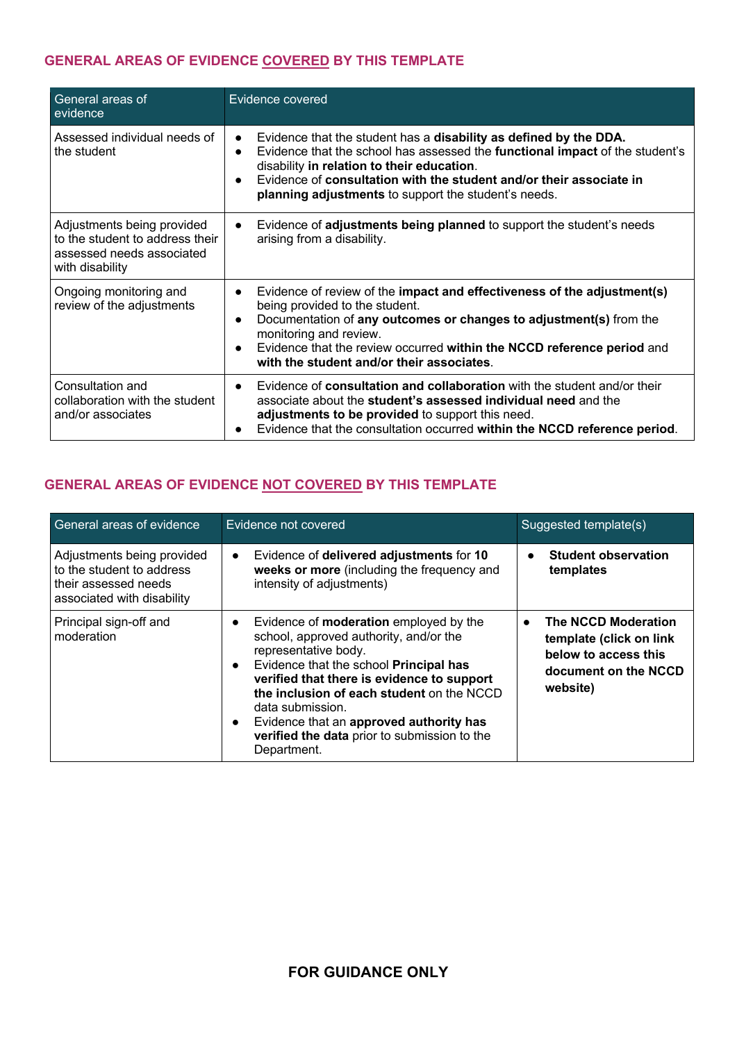### **GENERAL AREAS OF EVIDENCE COVERED BY THIS TEMPLATE**

| General areas of<br>evidence                                                                                  | Evidence covered                                                                                                                                                                                                                                                                                                                                           |
|---------------------------------------------------------------------------------------------------------------|------------------------------------------------------------------------------------------------------------------------------------------------------------------------------------------------------------------------------------------------------------------------------------------------------------------------------------------------------------|
| Assessed individual needs of<br>the student                                                                   | Evidence that the student has a disability as defined by the DDA.<br>$\bullet$<br>Evidence that the school has assessed the functional impact of the student's<br>$\bullet$<br>disability in relation to their education.<br>Evidence of consultation with the student and/or their associate in<br>planning adjustments to support the student's needs.   |
| Adjustments being provided<br>to the student to address their<br>assessed needs associated<br>with disability | Evidence of adjustments being planned to support the student's needs<br>$\bullet$<br>arising from a disability.                                                                                                                                                                                                                                            |
| Ongoing monitoring and<br>review of the adjustments                                                           | Evidence of review of the impact and effectiveness of the adjustment(s)<br>$\bullet$<br>being provided to the student.<br>Documentation of any outcomes or changes to adjustment(s) from the<br>$\bullet$<br>monitoring and review.<br>Evidence that the review occurred within the NCCD reference period and<br>with the student and/or their associates. |
| Consultation and<br>collaboration with the student<br>and/or associates                                       | Evidence of consultation and collaboration with the student and/or their<br>$\bullet$<br>associate about the student's assessed individual need and the<br>adjustments to be provided to support this need.<br>Evidence that the consultation occurred within the NCCD reference period.                                                                   |

## **GENERAL AREAS OF EVIDENCE NOT COVERED BY THIS TEMPLATE**

| General areas of evidence                                                                                     | Evidence not covered                                                                                                                                                                                                                                                                                                                                                                                                      | Suggested template(s)                                                                                                          |
|---------------------------------------------------------------------------------------------------------------|---------------------------------------------------------------------------------------------------------------------------------------------------------------------------------------------------------------------------------------------------------------------------------------------------------------------------------------------------------------------------------------------------------------------------|--------------------------------------------------------------------------------------------------------------------------------|
| Adjustments being provided<br>to the student to address<br>their assessed needs<br>associated with disability | Evidence of delivered adjustments for 10<br>$\bullet$<br>weeks or more (including the frequency and<br>intensity of adjustments)                                                                                                                                                                                                                                                                                          | <b>Student observation</b><br>templates                                                                                        |
| Principal sign-off and<br>moderation                                                                          | Evidence of <b>moderation</b> employed by the<br>$\bullet$<br>school, approved authority, and/or the<br>representative body.<br>Evidence that the school Principal has<br>$\bullet$<br>verified that there is evidence to support<br>the inclusion of each student on the NCCD<br>data submission.<br>Evidence that an approved authority has<br>$\bullet$<br>verified the data prior to submission to the<br>Department. | <b>The NCCD Moderation</b><br>$\bullet$<br>template (click on link<br>below to access this<br>document on the NCCD<br>website) |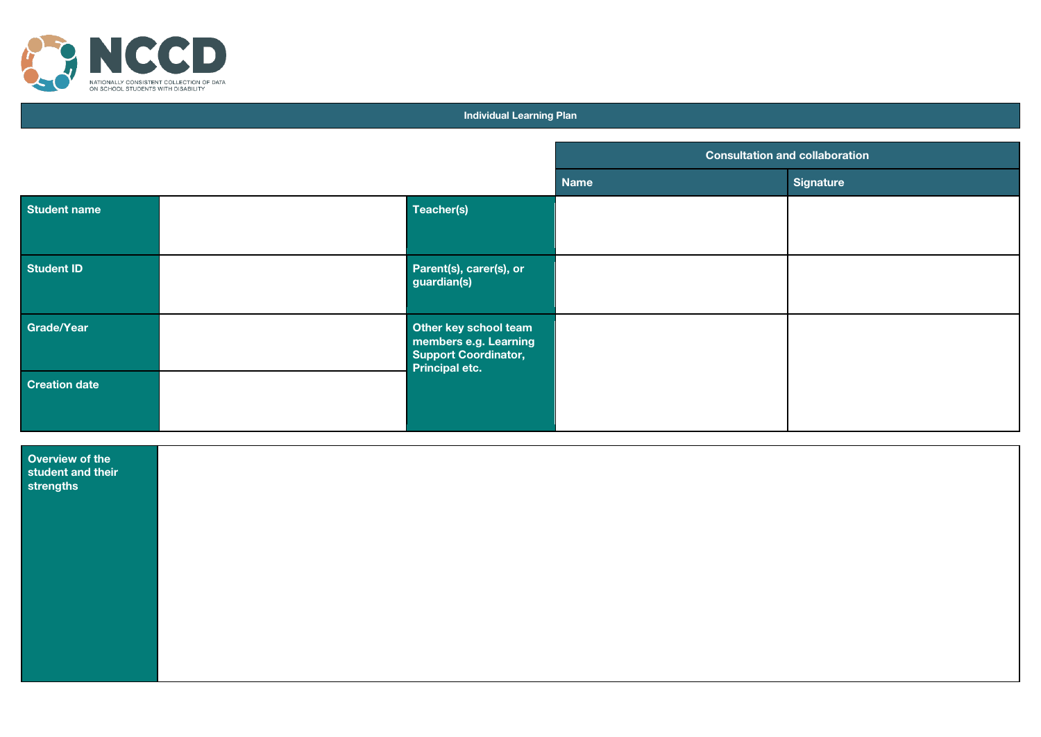

#### **Individual Learning Plan**

|                                                   |  |                                                                                          | <b>Consultation and collaboration</b> |                  |
|---------------------------------------------------|--|------------------------------------------------------------------------------------------|---------------------------------------|------------------|
|                                                   |  |                                                                                          | Name                                  | <b>Signature</b> |
| <b>Student name</b>                               |  | Teacher(s)                                                                               |                                       |                  |
| <b>Student ID</b>                                 |  | Parent(s), carer(s), or<br>guardian(s)                                                   |                                       |                  |
| Grade/Year                                        |  | Other key school team<br>members e.g. Learning<br>Support Coordinator,<br>Principal etc. |                                       |                  |
| <b>Creation date</b>                              |  |                                                                                          |                                       |                  |
| Overview of the<br>student and their<br>strengths |  |                                                                                          |                                       |                  |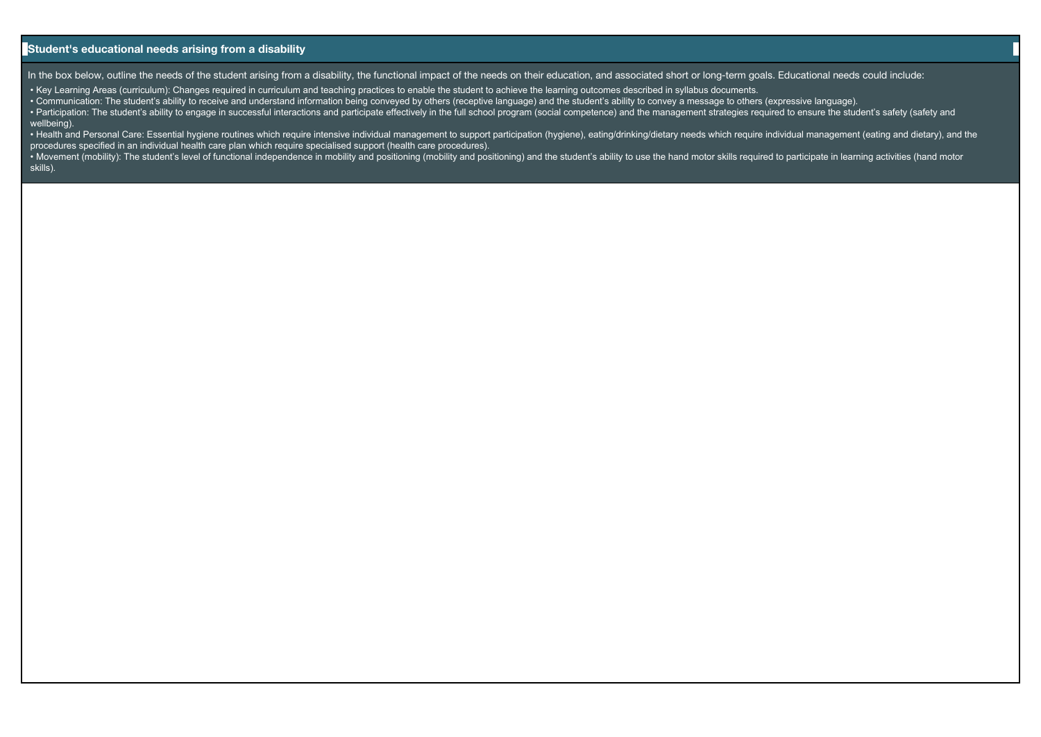#### **Student's educational needs arising from a disability**

In the box below, outline the needs of the student arising from a disability, the functional impact of the needs on their education, and associated short or long-term goals. Educational needs could include:

• Key Learning Areas (curriculum): Changes required in curriculum and teaching practices to enable the student to achieve the learning outcomes described in syllabus documents.

• Communication: The student's ability to receive and understand information being conveyed by others (receptive language) and the student's ability to convey a message to others (expressive language).

· Participation: The student's ability to engage in successful interactions and participate effectively in the full school program (social competence) and the management strategies required to ensure the student's safety ( wellbeing).

. Health and Personal Care: Essential hygiene routines which require intensive individual management to support participation (hygiene), eating/drinking/dietary needs which require individual management (eating and dietary procedures specified in an individual health care plan which require specialised support (health care procedures).

. Movement (mobility): The student's level of functional independence in mobility and positioning (mobility and positioning) and the student's ability to use the hand motor skills required to participate in learning activi skills).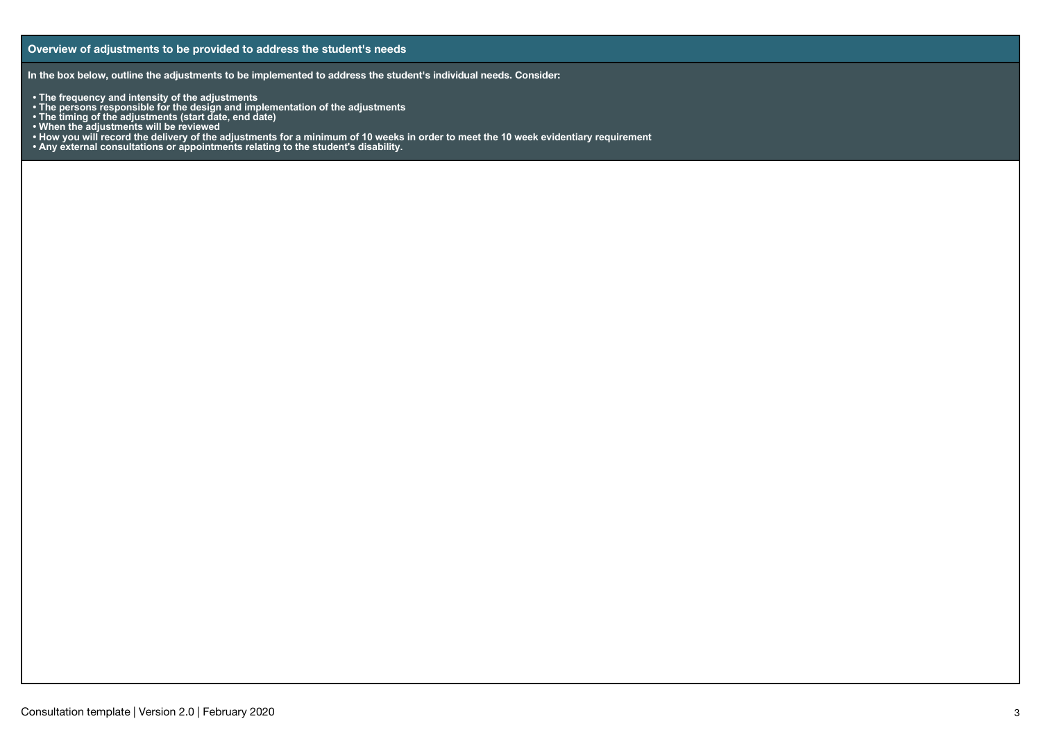**In the box below, outline the adjustments to be implemented to address the student's individual needs. Consider:** 

- 
- **The frequency and intensity of the adjustments The persons responsible for the design and implementation of the adjustments**
- **The timing of the adjustments (start date, end date)**
- **When the adjustments will be reviewed**
- **• How you will record the delivery of the adjustments for a minimum of 10 weeks in order to meet the 10 week evidentiary requirement**
- **Any external consultations or appointments relating to the student's disability.**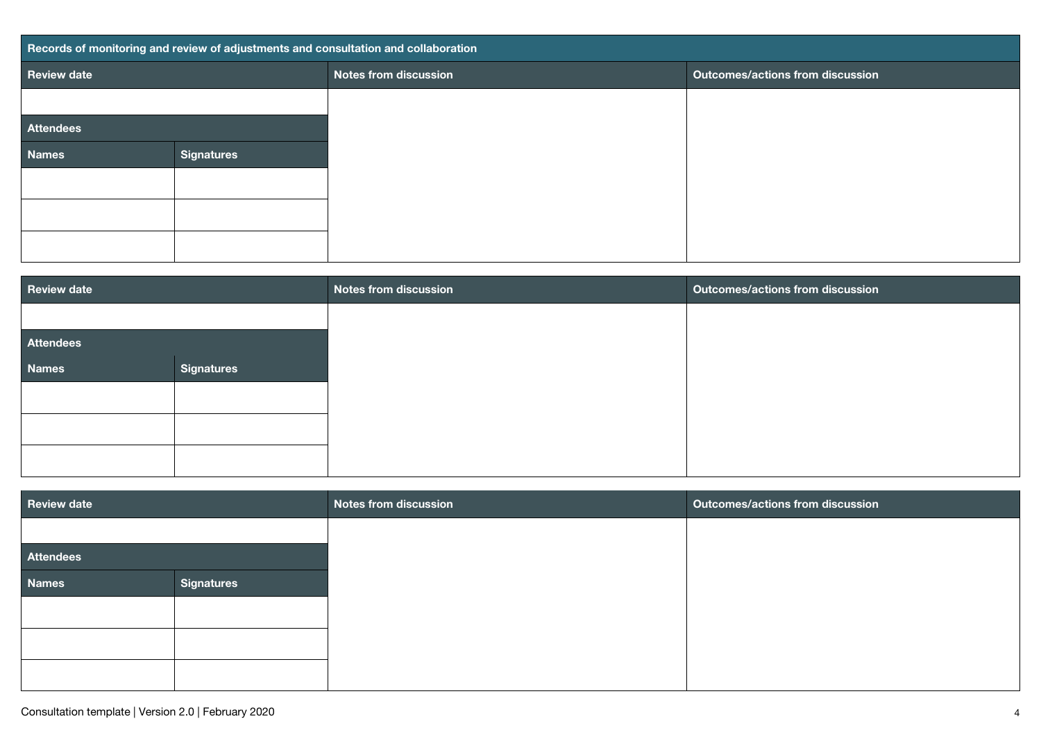| Records of monitoring and review of adjustments and consultation and collaboration |                   |                              |                                         |
|------------------------------------------------------------------------------------|-------------------|------------------------------|-----------------------------------------|
| <b>Review date</b>                                                                 |                   | <b>Notes from discussion</b> | <b>Outcomes/actions from discussion</b> |
|                                                                                    |                   |                              |                                         |
| <b>Attendees</b>                                                                   |                   |                              |                                         |
| <b>Names</b>                                                                       | <b>Signatures</b> |                              |                                         |
|                                                                                    |                   |                              |                                         |
|                                                                                    |                   |                              |                                         |
|                                                                                    |                   |                              |                                         |
|                                                                                    |                   |                              |                                         |

| <b>Review date</b> |                   | <b>Notes from discussion</b> | <b>Outcomes/actions from discussion</b> |
|--------------------|-------------------|------------------------------|-----------------------------------------|
|                    |                   |                              |                                         |
| <b>Attendees</b>   |                   |                              |                                         |
| <b>Names</b>       | <b>Signatures</b> |                              |                                         |
|                    |                   |                              |                                         |
|                    |                   |                              |                                         |
|                    |                   |                              |                                         |
|                    |                   |                              |                                         |

| <b>Review date</b> |                   | <b>Notes from discussion</b> | <b>Outcomes/actions from discussion</b> |
|--------------------|-------------------|------------------------------|-----------------------------------------|
|                    |                   |                              |                                         |
| <b>Attendees</b>   |                   |                              |                                         |
| <b>Names</b>       | <b>Signatures</b> |                              |                                         |
|                    |                   |                              |                                         |
|                    |                   |                              |                                         |
|                    |                   |                              |                                         |
|                    |                   |                              |                                         |